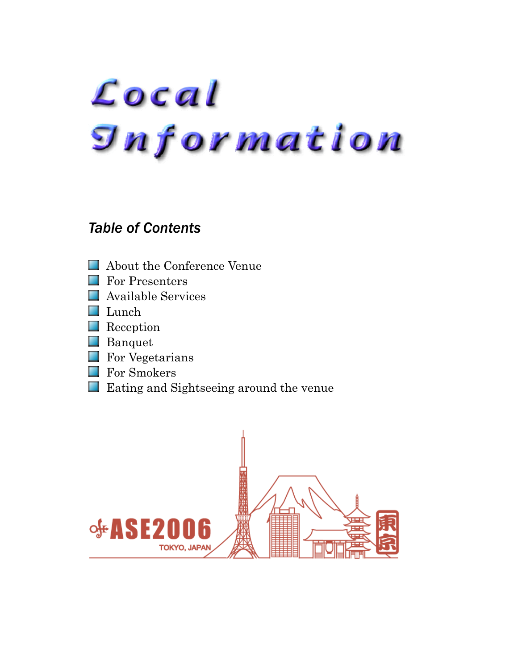# Local **Snformation**

# *Table of Contents*

- **About the Conference Venue**
- For Presenters m
- Available Services
- Lunch
- **Reception**
- **Banquet**
- **For Vegetarians**
- **For Smokers**
- **Eating and Sightseeing around the venue**

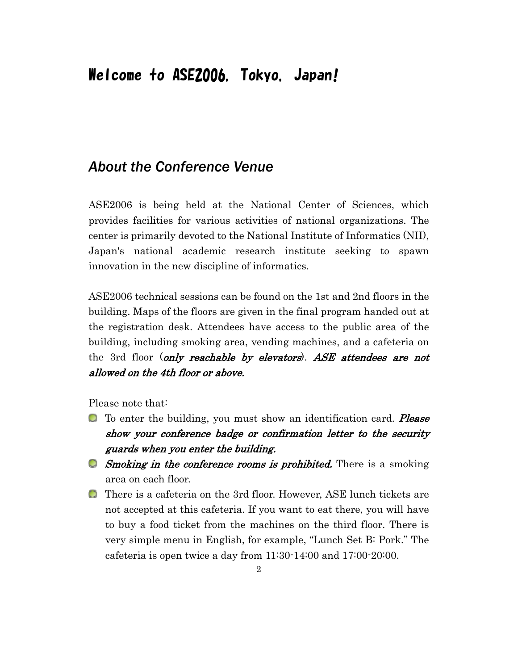# Welcome to ASE2006, Tokyo, Japan!

## *About the Conference Venue*

ASE2006 is being held at the National Center of Sciences, which provides facilities for various activities of national organizations. The center is primarily devoted to the National Institute of Informatics (NII), Japan's national academic research institute seeking to spawn innovation in the new discipline of informatics.

ASE2006 technical sessions can be found on the 1st and 2nd floors in the building. Maps of the floors are given in the final program handed out at the registration desk. Attendees have access to the public area of the building, including smoking area, vending machines, and a cafeteria on the 3rd floor (only reachable by elevators). ASE attendees are not allowed on the 4th floor or above.

Please note that:

- **To enter the building, you must show an identification card. Please** show your conference badge or confirmation letter to the security guards when you enter the building.
- **Smoking in the conference rooms is prohibited.** There is a smoking area on each floor.
- There is a cafeteria on the 3rd floor. However, ASE lunch tickets are not accepted at this cafeteria. If you want to eat there, you will have to buy a food ticket from the machines on the third floor. There is very simple menu in English, for example, "Lunch Set B: Pork." The cafeteria is open twice a day from 11:30-14:00 and 17:00-20:00.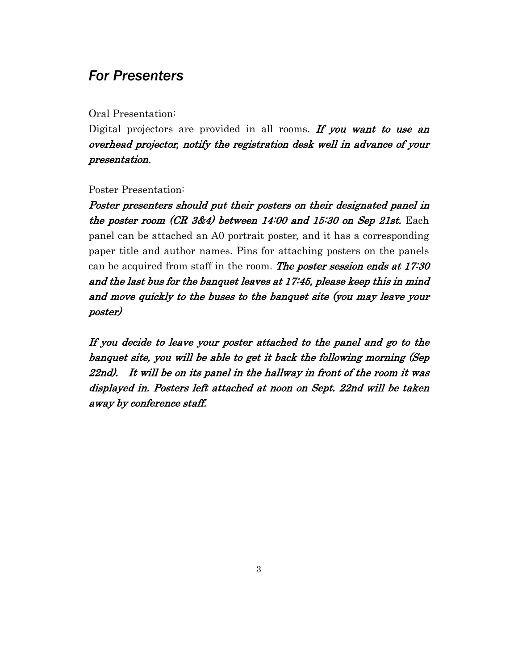## *For Presenters*

Oral Presentation:

Digital projectors are provided in all rooms. If you want to use an overhead projector, notify the registration desk well in advance of your presentation.

Poster Presentation:

Poster presenters should put their posters on their designated panel in the poster room  $(CR 3\&4)$  between 14:00 and 15:30 on Sep 21st. Each panel can be attached an A0 portrait poster, and it has a corresponding paper title and author names. Pins for attaching posters on the panels can be acquired from staff in the room. The poster session ends at 17:30 and the last bus for the banquet leaves at 17:45, please keep this in mind and move quickly to the buses to the banquet site (you may leave your poster)

If you decide to leave your poster attached to the panel and go to the banquet site, you will be able to get it back the following morning (Sep 22nd). It will be on its panel in the hallway in front of the room it was displayed in. Posters left attached at noon on Sept. 22nd will be taken away by conference staff.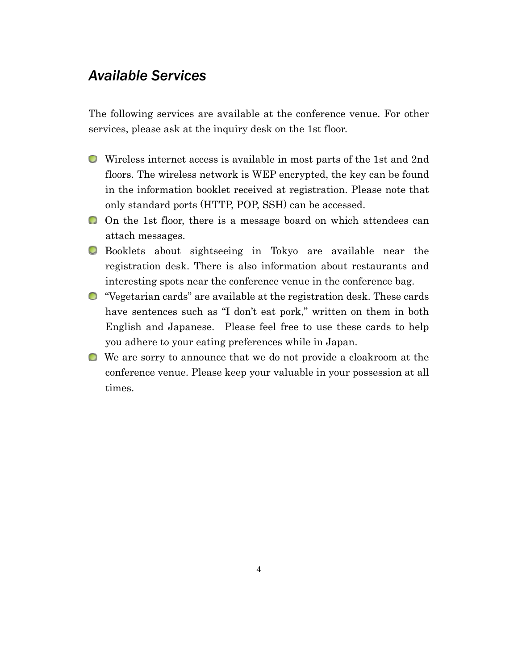## *Available Services*

The following services are available at the conference venue. For other services, please ask at the inquiry desk on the 1st floor.

- Wireless internet access is available in most parts of the 1st and 2nd floors. The wireless network is WEP encrypted, the key can be found in the information booklet received at registration. Please note that only standard ports (HTTP, POP, SSH) can be accessed.
- On the 1st floor, there is a message board on which attendees can attach messages.
- Booklets about sightseeing in Tokyo are available near the registration desk. There is also information about restaurants and interesting spots near the conference venue in the conference bag.
- "Vegetarian cards" are available at the registration desk. These cards have sentences such as "I don't eat pork," written on them in both English and Japanese. Please feel free to use these cards to help you adhere to your eating preferences while in Japan.
- We are sorry to announce that we do not provide a cloakroom at the conference venue. Please keep your valuable in your possession at all times.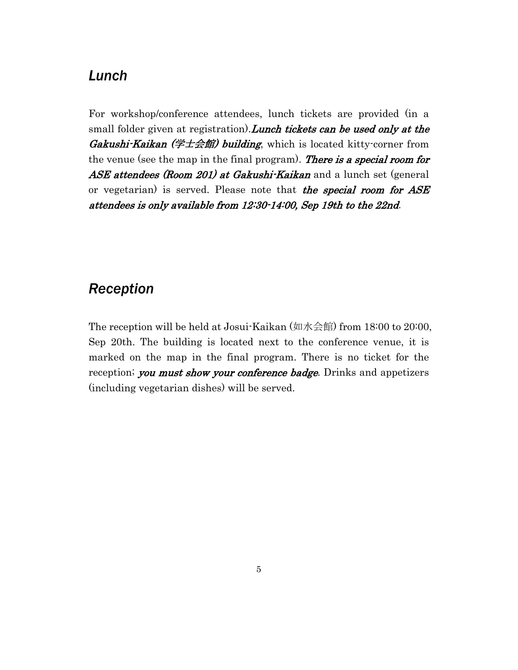#### *Lunch*

For workshop/conference attendees, lunch tickets are provided (in a small folder given at registration). Lunch tickets can be used only at the Gakushi-Kaikan (学士会館) building, which is located kitty-corner from the venue (see the map in the final program). There is a special room for ASE attendees (Room 201) at Gakushi-Kaikan and a lunch set (general or vegetarian) is served. Please note that the special room for ASE attendees is only available from 12:30-14:00, Sep 19th to the 22nd.

## *Reception*

The reception will be held at Josui-Kaikan (如水会館) from 18:00 to 20:00, Sep 20th. The building is located next to the conference venue, it is marked on the map in the final program. There is no ticket for the reception; you must show your conference badge. Drinks and appetizers (including vegetarian dishes) will be served.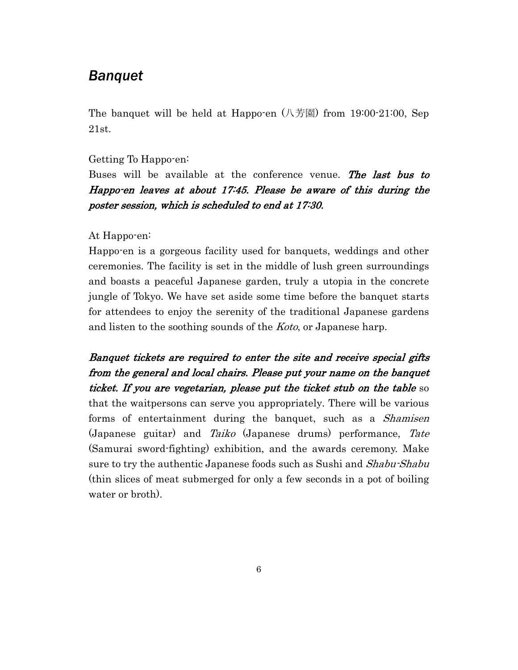#### *Banquet*

The banquet will be held at Happo-en  $(\sqrt{75})$  from 19:00-21:00, Sep 21st.

#### Getting To Happo-en:

Buses will be available at the conference venue. The last bus to Happo-en leaves at about 17:45. Please be aware of this during the poster session, which is scheduled to end at 17:30.

#### At Happo-en:

Happo-en is a gorgeous facility used for banquets, weddings and other ceremonies. The facility is set in the middle of lush green surroundings and boasts a peaceful Japanese garden, truly a utopia in the concrete jungle of Tokyo. We have set aside some time before the banquet starts for attendees to enjoy the serenity of the traditional Japanese gardens and listen to the soothing sounds of the *Koto*, or Japanese harp.

Banquet tickets are required to enter the site and receive special gifts from the general and local chairs. Please put your name on the banquet ticket. If you are vegetarian, please put the ticket stub on the table so that the waitpersons can serve you appropriately. There will be various forms of entertainment during the banquet, such as a *Shamisen* (Japanese guitar) and Taiko (Japanese drums) performance, Tate (Samurai sword-fighting) exhibition, and the awards ceremony. Make sure to try the authentic Japanese foods such as Sushi and *Shabu-Shabu* (thin slices of meat submerged for only a few seconds in a pot of boiling water or broth).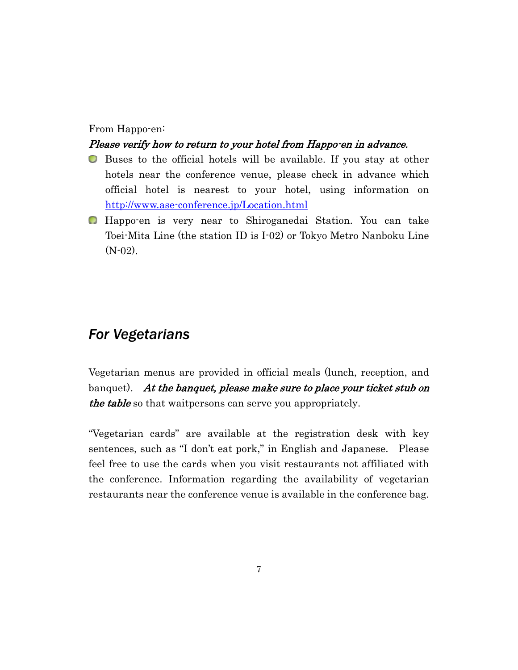#### From Happo-en:

#### Please verify how to return to your hotel from Happo-en in advance.

- Buses to the official hotels will be available. If you stay at other hotels near the conference venue, please check in advance which official hotel is nearest to your hotel, using information on http://www.ase-conference.jp/Location.html
- Happo-en is very near to Shiroganedai Station. You can take Toei-Mita Line (the station ID is I-02) or Tokyo Metro Nanboku Line (N-02).

#### *For Vegetarians*

Vegetarian menus are provided in official meals (lunch, reception, and banquet). At the banquet, please make sure to place your ticket stub on the table so that waitpersons can serve you appropriately.

"Vegetarian cards" are available at the registration desk with key sentences, such as "I don't eat pork," in English and Japanese. Please feel free to use the cards when you visit restaurants not affiliated with the conference. Information regarding the availability of vegetarian restaurants near the conference venue is available in the conference bag.